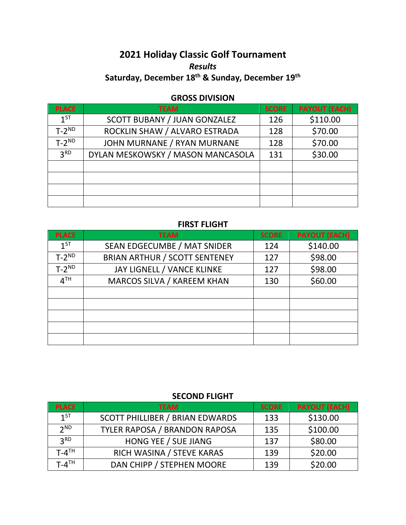# **2021 Holiday Classic Golf Tournament** *Results* **Saturday, December 18th & Sunday, December 19th**

## **GROSS DIVISION**

| <b>PLACE</b>    | <b>TEAM</b>                       | <b>SCORE</b> | <b>PAYOUT (EACH)</b> |
|-----------------|-----------------------------------|--------------|----------------------|
| $1^{ST}$        | SCOTT BUBANY / JUAN GONZALEZ      | 126          | \$110.00             |
| $T-2^{ND}$      | ROCKLIN SHAW / ALVARO ESTRADA     | 128          | \$70.00              |
| $T-2^{ND}$      | JOHN MURNANE / RYAN MURNANE       | 128          | \$70.00              |
| 3 <sup>RD</sup> | DYLAN MESKOWSKY / MASON MANCASOLA | 131          | \$30.00              |
|                 |                                   |              |                      |
|                 |                                   |              |                      |
|                 |                                   |              |                      |
|                 |                                   |              |                      |

## **FIRST FLIGHT**

| <b>PLACE</b>    | <b>TEAM</b>                          | <b>SCORE</b> | <b>PAYOUT (EACH)</b> |
|-----------------|--------------------------------------|--------------|----------------------|
| $1^{ST}$        | SEAN EDGECUMBE / MAT SNIDER          | 124          | \$140.00             |
| $T-2^{ND}$      | <b>BRIAN ARTHUR / SCOTT SENTENEY</b> | 127          | \$98.00              |
| $T-2^{ND}$      | JAY LIGNELL / VANCE KLINKE           | 127          | \$98.00              |
| 4 <sup>TH</sup> | MARCOS SILVA / KAREEM KHAN           | 130          | \$60.00              |
|                 |                                      |              |                      |
|                 |                                      |              |                      |
|                 |                                      |              |                      |
|                 |                                      |              |                      |
|                 |                                      |              |                      |

#### **SECOND FLIGHT**

| <b>PLACE</b>          | <b>TEAM</b>                            | <b>SCORE</b> | <b>PAYOUT (EACH)</b> |
|-----------------------|----------------------------------------|--------------|----------------------|
| $1^{5T}$              | <b>SCOTT PHILLIBER / BRIAN EDWARDS</b> | 133          | \$130.00             |
| 2 <sup>ND</sup>       | TYLER RAPOSA / BRANDON RAPOSA          | 135          | \$100.00             |
| 2 <sup>RD</sup>       | HONG YEE / SUE JIANG                   | 137          | \$80.00              |
| $T - 4$ <sup>TH</sup> | RICH WASINA / STEVE KARAS              | 139          | \$20.00              |
| $T - 4$ <sup>TH</sup> | DAN CHIPP / STEPHEN MOORE              | 139          | \$20.00              |